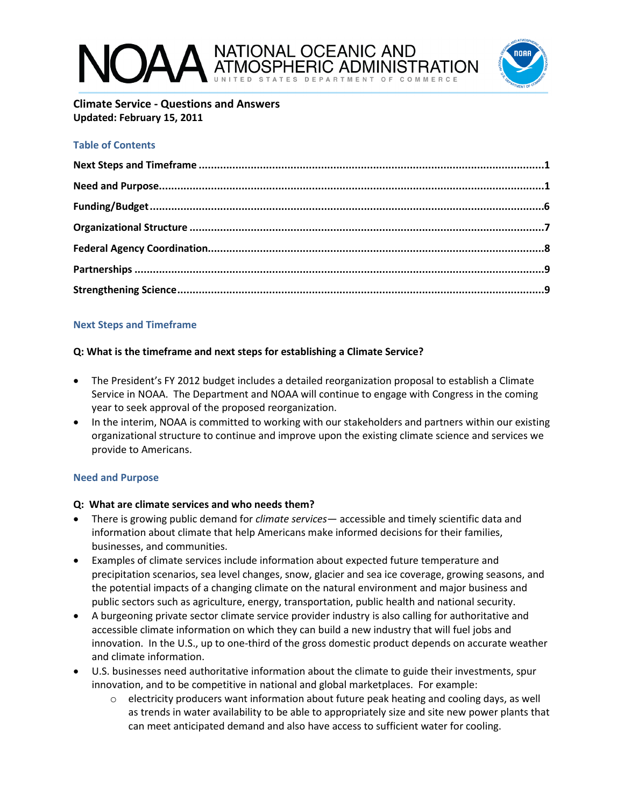# NATIONAL OCEANIC AND



**Climate Service - Questions and Answers Updated: February 15, 2011**

# **Table of Contents**

# **Next Steps and Timeframe**

# **Q: What is the timeframe and next steps for establishing a Climate Service?**

- The President's FY 2012 budget includes a detailed reorganization proposal to establish a Climate Service in NOAA. The Department and NOAA will continue to engage with Congress in the coming year to seek approval of the proposed reorganization.
- In the interim, NOAA is committed to working with our stakeholders and partners within our existing organizational structure to continue and improve upon the existing climate science and services we provide to Americans.

# **Need and Purpose**

# **Q: What are climate services and who needs them?**

- There is growing public demand for *climate services* accessible and timely scientific data and information about climate that help Americans make informed decisions for their families, businesses, and communities.
- Examples of climate services include information about expected future temperature and precipitation scenarios, sea level changes, snow, glacier and sea ice coverage, growing seasons, and the potential impacts of a changing climate on the natural environment and major business and public sectors such as agriculture, energy, transportation, public health and national security.
- A burgeoning private sector climate service provider industry is also calling for authoritative and accessible climate information on which they can build a new industry that will fuel jobs and innovation. In the U.S., up to one-third of the gross domestic product depends on accurate weather and climate information.
- U.S. businesses need authoritative information about the climate to guide their investments, spur innovation, and to be competitive in national and global marketplaces. For example:
	- $\circ$  electricity producers want information about future peak heating and cooling days, as well as trends in water availability to be able to appropriately size and site new power plants that can meet anticipated demand and also have access to sufficient water for cooling.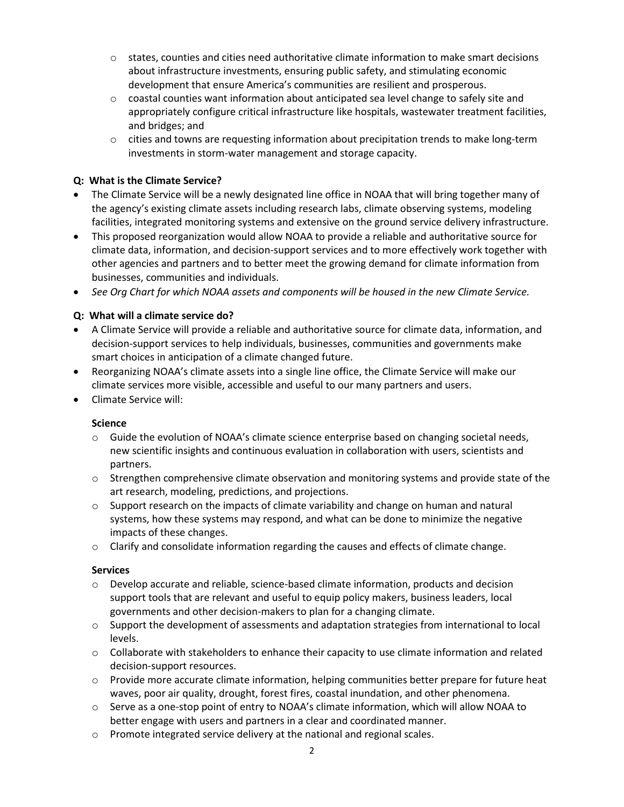- $\circ$  states, counties and cities need authoritative climate information to make smart decisions about infrastructure investments, ensuring public safety, and stimulating economic development that ensure America's communities are resilient and prosperous.
- $\circ$  coastal counties want information about anticipated sea level change to safely site and appropriately configure critical infrastructure like hospitals, wastewater treatment facilities, and bridges; and
- $\circ$  cities and towns are requesting information about precipitation trends to make long-term investments in storm-water management and storage capacity.

# **Q: What is the Climate Service?**

- The Climate Service will be a newly designated line office in NOAA that will bring together many of the agency's existing climate assets including research labs, climate observing systems, modeling facilities, integrated monitoring systems and extensive on the ground service delivery infrastructure.
- This proposed reorganization would allow NOAA to provide a reliable and authoritative source for climate data, information, and decision-support services and to more effectively work together with other agencies and partners and to better meet the growing demand for climate information from businesses, communities and individuals.
- *See Org Chart for which NOAA assets and components will be housed in the new Climate Service.*

# **Q: What will a climate service do?**

- A Climate Service will provide a reliable and authoritative source for climate data, information, and decision-support services to help individuals, businesses, communities and governments make smart choices in anticipation of a climate changed future.
- Reorganizing NOAA's climate assets into a single line office, the Climate Service will make our climate services more visible, accessible and useful to our many partners and users.
- Climate Service will:

# **Science**

- o Guide the evolution of NOAA's climate science enterprise based on changing societal needs, new scientific insights and continuous evaluation in collaboration with users, scientists and partners.
- $\circ$  Strengthen comprehensive climate observation and monitoring systems and provide state of the art research, modeling, predictions, and projections.
- $\circ$  Support research on the impacts of climate variability and change on human and natural systems, how these systems may respond, and what can be done to minimize the negative impacts of these changes.
- $\circ$  Clarify and consolidate information regarding the causes and effects of climate change.

# **Services**

- $\circ$  Develop accurate and reliable, science-based climate information, products and decision support tools that are relevant and useful to equip policy makers, business leaders, local governments and other decision-makers to plan for a changing climate.
- $\circ$  Support the development of assessments and adaptation strategies from international to local levels.
- $\circ$  Collaborate with stakeholders to enhance their capacity to use climate information and related decision-support resources.
- $\circ$  Provide more accurate climate information, helping communities better prepare for future heat waves, poor air quality, drought, forest fires, coastal inundation, and other phenomena.
- $\circ$  Serve as a one-stop point of entry to NOAA's climate information, which will allow NOAA to better engage with users and partners in a clear and coordinated manner.
- o Promote integrated service delivery at the national and regional scales.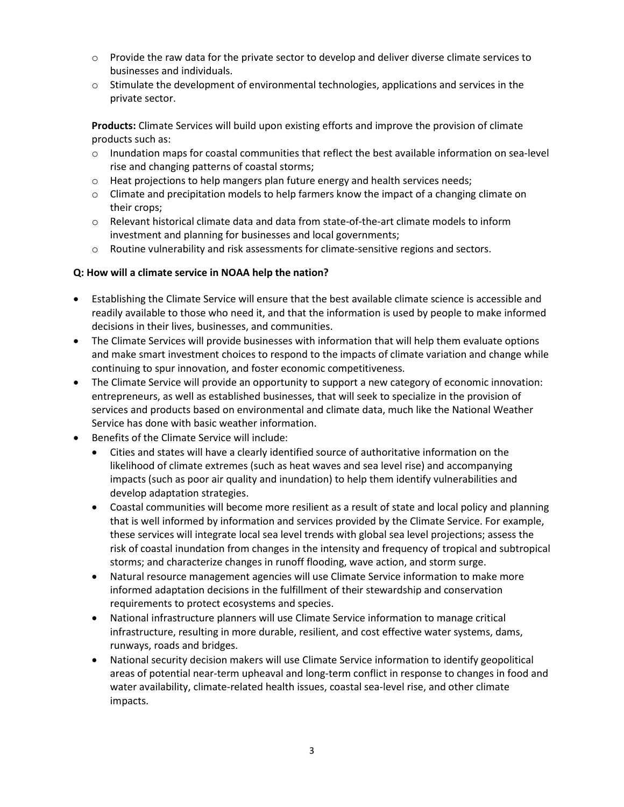- $\circ$  Provide the raw data for the private sector to develop and deliver diverse climate services to businesses and individuals.
- $\circ$  Stimulate the development of environmental technologies, applications and services in the private sector.

**Products:** Climate Services will build upon existing efforts and improve the provision of climate products such as:

- o Inundation maps for coastal communities that reflect the best available information on sea-level rise and changing patterns of coastal storms;
- $\circ$  Heat projections to help mangers plan future energy and health services needs;
- o Climate and precipitation models to help farmers know the impact of a changing climate on their crops;
- o Relevant historical climate data and data from state-of-the-art climate models to inform investment and planning for businesses and local governments;
- $\circ$  Routine vulnerability and risk assessments for climate-sensitive regions and sectors.

#### **Q: How will a climate service in NOAA help the nation?**

- Establishing the Climate Service will ensure that the best available climate science is accessible and readily available to those who need it, and that the information is used by people to make informed decisions in their lives, businesses, and communities.
- The Climate Services will provide businesses with information that will help them evaluate options and make smart investment choices to respond to the impacts of climate variation and change while continuing to spur innovation, and foster economic competitiveness.
- The Climate Service will provide an opportunity to support a new category of economic innovation: entrepreneurs, as well as established businesses, that will seek to specialize in the provision of services and products based on environmental and climate data, much like the National Weather Service has done with basic weather information.
- Benefits of the Climate Service will include:
	- Cities and states will have a clearly identified source of authoritative information on the likelihood of climate extremes (such as heat waves and sea level rise) and accompanying impacts (such as poor air quality and inundation) to help them identify vulnerabilities and develop adaptation strategies.
	- Coastal communities will become more resilient as a result of state and local policy and planning that is well informed by information and services provided by the Climate Service. For example, these services will integrate local sea level trends with global sea level projections; assess the risk of coastal inundation from changes in the intensity and frequency of tropical and subtropical storms; and characterize changes in runoff flooding, wave action, and storm surge.
	- Natural resource management agencies will use Climate Service information to make more informed adaptation decisions in the fulfillment of their stewardship and conservation requirements to protect ecosystems and species.
	- National infrastructure planners will use Climate Service information to manage critical infrastructure, resulting in more durable, resilient, and cost effective water systems, dams, runways, roads and bridges.
	- National security decision makers will use Climate Service information to identify geopolitical areas of potential near-term upheaval and long-term conflict in response to changes in food and water availability, climate-related health issues, coastal sea-level rise, and other climate impacts.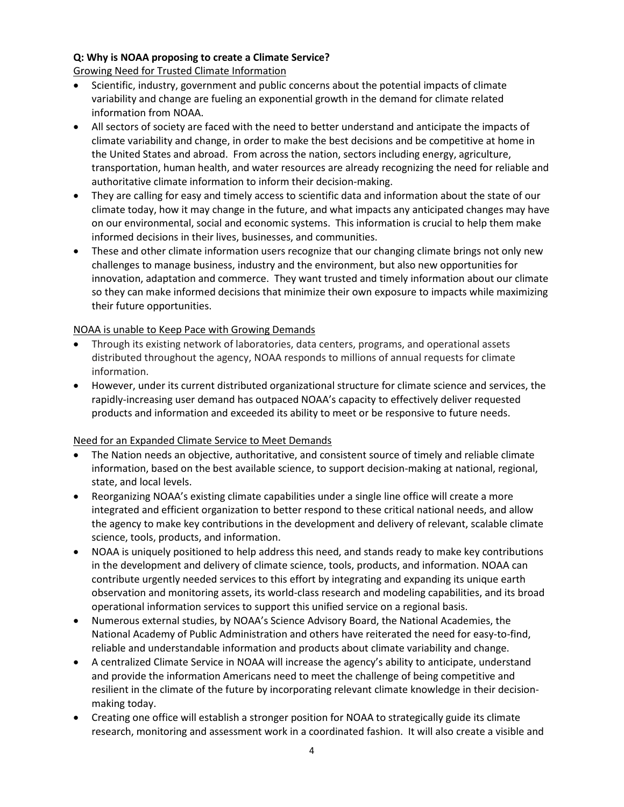# **Q: Why is NOAA proposing to create a Climate Service?**

Growing Need for Trusted Climate Information

- Scientific, industry, government and public concerns about the potential impacts of climate variability and change are fueling an exponential growth in the demand for climate related information from NOAA.
- All sectors of society are faced with the need to better understand and anticipate the impacts of climate variability and change, in order to make the best decisions and be competitive at home in the United States and abroad. From across the nation, sectors including energy, agriculture, transportation, human health, and water resources are already recognizing the need for reliable and authoritative climate information to inform their decision-making.
- They are calling for easy and timely access to scientific data and information about the state of our climate today, how it may change in the future, and what impacts any anticipated changes may have on our environmental, social and economic systems. This information is crucial to help them make informed decisions in their lives, businesses, and communities.
- These and other climate information users recognize that our changing climate brings not only new challenges to manage business, industry and the environment, but also new opportunities for innovation, adaptation and commerce. They want trusted and timely information about our climate so they can make informed decisions that minimize their own exposure to impacts while maximizing their future opportunities.

## NOAA is unable to Keep Pace with Growing Demands

- Through its existing network of laboratories, data centers, programs, and operational assets distributed throughout the agency, NOAA responds to millions of annual requests for climate information.
- However, under its current distributed organizational structure for climate science and services, the rapidly-increasing user demand has outpaced NOAA's capacity to effectively deliver requested products and information and exceeded its ability to meet or be responsive to future needs.

# Need for an Expanded Climate Service to Meet Demands

- The Nation needs an objective, authoritative, and consistent source of timely and reliable climate information, based on the best available science, to support decision-making at national, regional, state, and local levels.
- Reorganizing NOAA's existing climate capabilities under a single line office will create a more integrated and efficient organization to better respond to these critical national needs, and allow the agency to make key contributions in the development and delivery of relevant, scalable climate science, tools, products, and information.
- NOAA is uniquely positioned to help address this need, and stands ready to make key contributions in the development and delivery of climate science, tools, products, and information. NOAA can contribute urgently needed services to this effort by integrating and expanding its unique earth observation and monitoring assets, its world-class research and modeling capabilities, and its broad operational information services to support this unified service on a regional basis.
- Numerous external studies, by NOAA's Science Advisory Board, the National Academies, the National Academy of Public Administration and others have reiterated the need for easy-to-find, reliable and understandable information and products about climate variability and change.
- A centralized Climate Service in NOAA will increase the agency's ability to anticipate, understand and provide the information Americans need to meet the challenge of being competitive and resilient in the climate of the future by incorporating relevant climate knowledge in their decisionmaking today.
- Creating one office will establish a stronger position for NOAA to strategically guide its climate research, monitoring and assessment work in a coordinated fashion. It will also create a visible and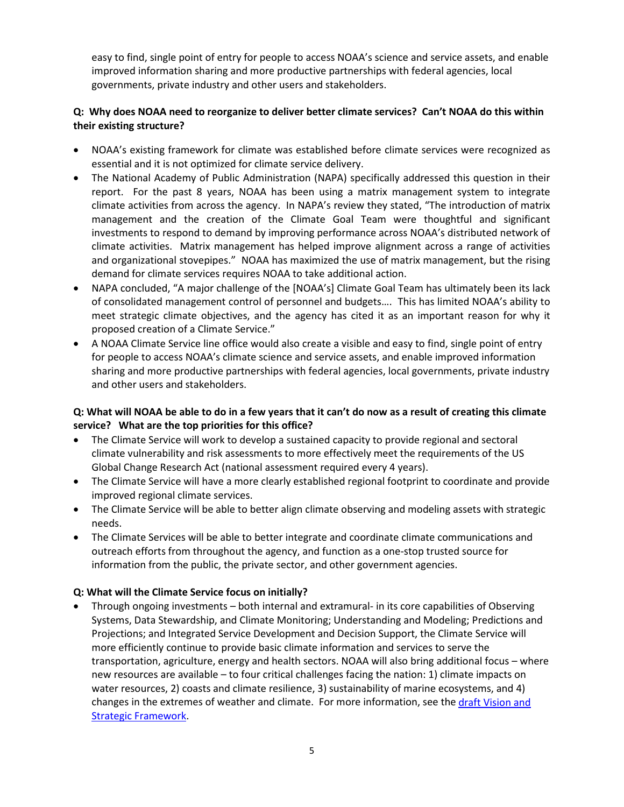easy to find, single point of entry for people to access NOAA's science and service assets, and enable improved information sharing and more productive partnerships with federal agencies, local governments, private industry and other users and stakeholders.

# **Q: Why does NOAA need to reorganize to deliver better climate services? Can't NOAA do this within their existing structure?**

- NOAA's existing framework for climate was established before climate services were recognized as essential and it is not optimized for climate service delivery.
- The National Academy of Public Administration (NAPA) specifically addressed this question in their report. For the past 8 years, NOAA has been using a matrix management system to integrate climate activities from across the agency. In NAPA's review they stated, "The introduction of matrix management and the creation of the Climate Goal Team were thoughtful and significant investments to respond to demand by improving performance across NOAA's distributed network of climate activities. Matrix management has helped improve alignment across a range of activities and organizational stovepipes." NOAA has maximized the use of matrix management, but the rising demand for climate services requires NOAA to take additional action.
- NAPA concluded, "A major challenge of the [NOAA's] Climate Goal Team has ultimately been its lack of consolidated management control of personnel and budgets…. This has limited NOAA's ability to meet strategic climate objectives, and the agency has cited it as an important reason for why it proposed creation of a Climate Service."
- A NOAA Climate Service line office would also create a visible and easy to find, single point of entry for people to access NOAA's climate science and service assets, and enable improved information sharing and more productive partnerships with federal agencies, local governments, private industry and other users and stakeholders.

# **Q: What will NOAA be able to do in a few years that it can't do now as a result of creating this climate service? What are the top priorities for this office?**

- The Climate Service will work to develop a sustained capacity to provide regional and sectoral climate vulnerability and risk assessments to more effectively meet the requirements of the US Global Change Research Act (national assessment required every 4 years).
- The Climate Service will have a more clearly established regional footprint to coordinate and provide improved regional climate services.
- The Climate Service will be able to better align climate observing and modeling assets with strategic needs.
- The Climate Services will be able to better integrate and coordinate climate communications and outreach efforts from throughout the agency, and function as a one-stop trusted source for information from the public, the private sector, and other government agencies.

# **Q: What will the Climate Service focus on initially?**

• Through ongoing investments – both internal and extramural- in its core capabilities of Observing Systems, Data Stewardship, and Climate Monitoring; Understanding and Modeling; Predictions and Projections; and Integrated Service Development and Decision Support, the Climate Service will more efficiently continue to provide basic climate information and services to serve the transportation, agriculture, energy and health sectors. NOAA will also bring additional focus – where new resources are available – to four critical challenges facing the nation: 1) climate impacts on water resources, 2) coasts and climate resilience, 3) sustainability of marine ecosystems, and 4) changes in the extremes of weather and climate. For more information, see the draft Vision and [Strategic Framework.](http://www.noaa.gov/climateresources/resources/CS_Draft_Vision_Strategic_Framework_v9.0%202010_12_20-1.pdf)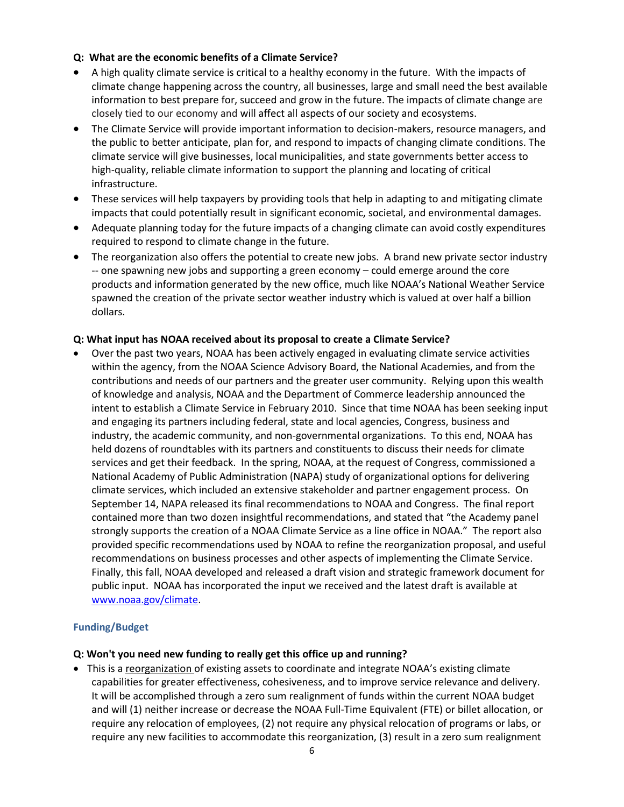#### **Q: What are the economic benefits of a Climate Service?**

- A high quality climate service is critical to a healthy economy in the future. With the impacts of climate change happening across the country, all businesses, large and small need the best available information to best prepare for, succeed and grow in the future. The impacts of climate change are closely tied to our economy and will affect all aspects of our society and ecosystems.
- The Climate Service will provide important information to decision-makers, resource managers, and the public to better anticipate, plan for, and respond to impacts of changing climate conditions. The climate service will give businesses, local municipalities, and state governments better access to high-quality, reliable climate information to support the planning and locating of critical infrastructure.
- These services will help taxpayers by providing tools that help in adapting to and mitigating climate impacts that could potentially result in significant economic, societal, and environmental damages.
- Adequate planning today for the future impacts of a changing climate can avoid costly expenditures required to respond to climate change in the future.
- The reorganization also offers the potential to create new jobs. A brand new private sector industry -- one spawning new jobs and supporting a green economy – could emerge around the core products and information generated by the new office, much like NOAA's National Weather Service spawned the creation of the private sector weather industry which is valued at over half a billion dollars.

#### **Q: What input has NOAA received about its proposal to create a Climate Service?**

• Over the past two years, NOAA has been actively engaged in evaluating climate service activities within the agency, from the NOAA Science Advisory Board, the National Academies, and from the contributions and needs of our partners and the greater user community. Relying upon this wealth of knowledge and analysis, NOAA and the Department of Commerce leadership announced the intent to establish a Climate Service in February 2010. Since that time NOAA has been seeking input and engaging its partners including federal, state and local agencies, Congress, business and industry, the academic community, and non-governmental organizations. To this end, NOAA has held dozens of roundtables with its partners and constituents to discuss their needs for climate services and get their feedback. In the spring, NOAA, at the request of Congress, commissioned a National Academy of Public Administration (NAPA) study of organizational options for delivering climate services, which included an extensive stakeholder and partner engagement process. On September 14, NAPA released its final recommendations to NOAA and Congress. The final report contained more than two dozen insightful recommendations, and stated that "the Academy panel strongly supports the creation of a NOAA Climate Service as a line office in NOAA." The report also provided specific recommendations used by NOAA to refine the reorganization proposal, and useful recommendations on business processes and other aspects of implementing the Climate Service. Finally, this fall, NOAA developed and released a draft vision and strategic framework document for public input. NOAA has incorporated the input we received and the latest draft is available at [www.noaa.gov/climate.](http://www.noaa.gov/climate)

#### **Funding/Budget**

#### **Q: Won't you need new funding to really get this office up and running?**

• This is a reorganization of existing assets to coordinate and integrate NOAA's existing climate capabilities for greater effectiveness, cohesiveness, and to improve service relevance and delivery. It will be accomplished through a zero sum realignment of funds within the current NOAA budget and will (1) neither increase or decrease the NOAA Full-Time Equivalent (FTE) or billet allocation, or require any relocation of employees, (2) not require any physical relocation of programs or labs, or require any new facilities to accommodate this reorganization, (3) result in a zero sum realignment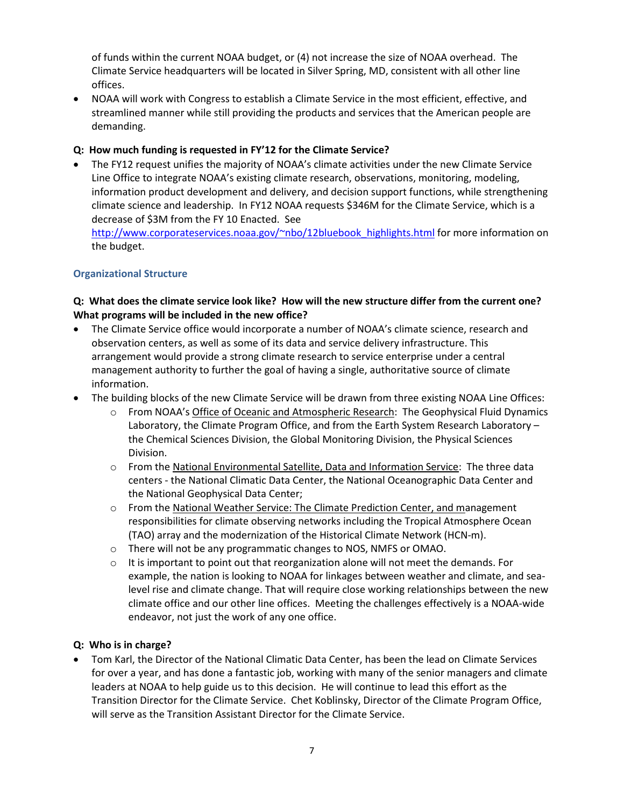of funds within the current NOAA budget, or (4) not increase the size of NOAA overhead. The Climate Service headquarters will be located in Silver Spring, MD, consistent with all other line offices.

• NOAA will work with Congress to establish a Climate Service in the most efficient, effective, and streamlined manner while still providing the products and services that the American people are demanding.

## **Q: How much funding is requested in FY'12 for the Climate Service?**

• The FY12 request unifies the majority of NOAA's climate activities under the new Climate Service Line Office to integrate NOAA's existing climate research, observations, monitoring, modeling, information product development and delivery, and decision support functions, while strengthening climate science and leadership. In FY12 NOAA requests \$346M for the Climate Service, which is a decrease of \$3M from the FY 10 Enacted. See http://www.corporateservices.noaa.gov/~nbo/12bluebook highlights.html for more information on the budget.

## **Organizational Structure**

## **Q: What does the climate service look like? How will the new structure differ from the current one? What programs will be included in the new office?**

- The Climate Service office would incorporate a number of NOAA's climate science, research and observation centers, as well as some of its data and service delivery infrastructure. This arrangement would provide a strong climate research to service enterprise under a central management authority to further the goal of having a single, authoritative source of climate information.
- The building blocks of the new Climate Service will be drawn from three existing NOAA Line Offices:
	- o From NOAA's Office of Oceanic and Atmospheric Research: The Geophysical Fluid Dynamics Laboratory, the Climate Program Office, and from the Earth System Research Laboratory – the Chemical Sciences Division, the Global Monitoring Division, the Physical Sciences Division.
	- o From the National Environmental Satellite, Data and Information Service: The three data centers - the National Climatic Data Center, the National Oceanographic Data Center and the National Geophysical Data Center;
	- $\circ$  From the National Weather Service: The Climate Prediction Center, and management responsibilities for climate observing networks including the Tropical Atmosphere Ocean (TAO) array and the modernization of the Historical Climate Network (HCN-m).
	- o There will not be any programmatic changes to NOS, NMFS or OMAO.
	- $\circ$  It is important to point out that reorganization alone will not meet the demands. For example, the nation is looking to NOAA for linkages between weather and climate, and sealevel rise and climate change. That will require close working relationships between the new climate office and our other line offices. Meeting the challenges effectively is a NOAA-wide endeavor, not just the work of any one office.

#### **Q: Who is in charge?**

• Tom Karl, the Director of the National Climatic Data Center, has been the lead on Climate Services for over a year, and has done a fantastic job, working with many of the senior managers and climate leaders at NOAA to help guide us to this decision. He will continue to lead this effort as the Transition Director for the Climate Service. Chet Koblinsky, Director of the Climate Program Office, will serve as the Transition Assistant Director for the Climate Service.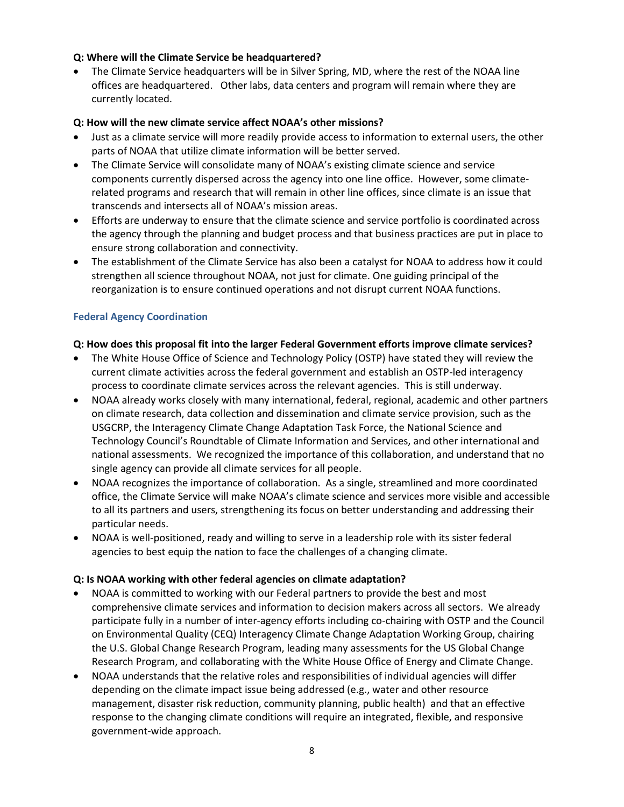#### **Q: Where will the Climate Service be headquartered?**

• The Climate Service headquarters will be in Silver Spring, MD, where the rest of the NOAA line offices are headquartered. Other labs, data centers and program will remain where they are currently located.

## **Q: How will the new climate service affect NOAA's other missions?**

- Just as a climate service will more readily provide access to information to external users, the other parts of NOAA that utilize climate information will be better served.
- The Climate Service will consolidate many of NOAA's existing climate science and service components currently dispersed across the agency into one line office. However, some climaterelated programs and research that will remain in other line offices, since climate is an issue that transcends and intersects all of NOAA's mission areas.
- Efforts are underway to ensure that the climate science and service portfolio is coordinated across the agency through the planning and budget process and that business practices are put in place to ensure strong collaboration and connectivity.
- The establishment of the Climate Service has also been a catalyst for NOAA to address how it could strengthen all science throughout NOAA, not just for climate. One guiding principal of the reorganization is to ensure continued operations and not disrupt current NOAA functions.

## **Federal Agency Coordination**

## **Q: How does this proposal fit into the larger Federal Government efforts improve climate services?**

- The White House Office of Science and Technology Policy (OSTP) have stated they will review the current climate activities across the federal government and establish an OSTP-led interagency process to coordinate climate services across the relevant agencies. This is still underway.
- NOAA already works closely with many international, federal, regional, academic and other partners on climate research, data collection and dissemination and climate service provision, such as the USGCRP, the Interagency Climate Change Adaptation Task Force, the National Science and Technology Council's Roundtable of Climate Information and Services, and other international and national assessments. We recognized the importance of this collaboration, and understand that no single agency can provide all climate services for all people.
- NOAA recognizes the importance of collaboration. As a single, streamlined and more coordinated office, the Climate Service will make NOAA's climate science and services more visible and accessible to all its partners and users, strengthening its focus on better understanding and addressing their particular needs.
- NOAA is well-positioned, ready and willing to serve in a leadership role with its sister federal agencies to best equip the nation to face the challenges of a changing climate.

#### **Q: Is NOAA working with other federal agencies on climate adaptation?**

- NOAA is committed to working with our Federal partners to provide the best and most comprehensive climate services and information to decision makers across all sectors. We already participate fully in a number of inter-agency efforts including co-chairing with OSTP and the Council on Environmental Quality (CEQ) Interagency Climate Change Adaptation Working Group, chairing the U.S. Global Change Research Program, leading many assessments for the US Global Change Research Program, and collaborating with the White House Office of Energy and Climate Change.
- NOAA understands that the relative roles and responsibilities of individual agencies will differ depending on the climate impact issue being addressed (e.g., water and other resource management, disaster risk reduction, community planning, public health) and that an effective response to the changing climate conditions will require an integrated, flexible, and responsive government-wide approach.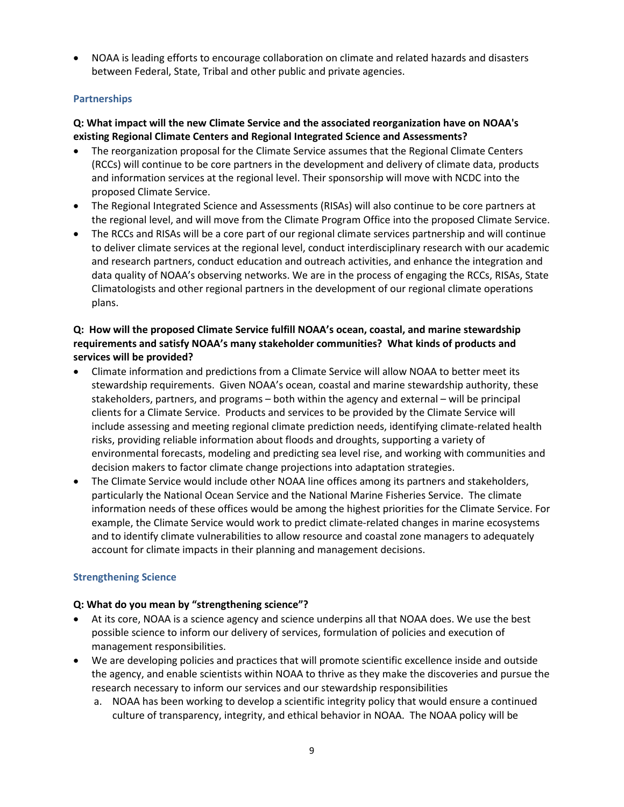• NOAA is leading efforts to encourage collaboration on climate and related hazards and disasters between Federal, State, Tribal and other public and private agencies.

## **Partnerships**

## **Q: What impact will the new Climate Service and the associated reorganization have on NOAA's existing Regional Climate Centers and Regional Integrated Science and Assessments?**

- The reorganization proposal for the Climate Service assumes that the Regional Climate Centers (RCCs) will continue to be core partners in the development and delivery of climate data, products and information services at the regional level. Their sponsorship will move with NCDC into the proposed Climate Service.
- The Regional Integrated Science and Assessments (RISAs) will also continue to be core partners at the regional level, and will move from the Climate Program Office into the proposed Climate Service.
- The RCCs and RISAs will be a core part of our regional climate services partnership and will continue to deliver climate services at the regional level, conduct interdisciplinary research with our academic and research partners, conduct education and outreach activities, and enhance the integration and data quality of NOAA's observing networks. We are in the process of engaging the RCCs, RISAs, State Climatologists and other regional partners in the development of our regional climate operations plans.

# **Q: How will the proposed Climate Service fulfill NOAA's ocean, coastal, and marine stewardship requirements and satisfy NOAA's many stakeholder communities? What kinds of products and services will be provided?**

- Climate information and predictions from a Climate Service will allow NOAA to better meet its stewardship requirements. Given NOAA's ocean, coastal and marine stewardship authority, these stakeholders, partners, and programs – both within the agency and external – will be principal clients for a Climate Service. Products and services to be provided by the Climate Service will include assessing and meeting regional climate prediction needs, identifying climate-related health risks, providing reliable information about floods and droughts, supporting a variety of environmental forecasts, modeling and predicting sea level rise, and working with communities and decision makers to factor climate change projections into adaptation strategies.
- The Climate Service would include other NOAA line offices among its partners and stakeholders, particularly the National Ocean Service and the National Marine Fisheries Service. The climate information needs of these offices would be among the highest priorities for the Climate Service. For example, the Climate Service would work to predict climate-related changes in marine ecosystems and to identify climate vulnerabilities to allow resource and coastal zone managers to adequately account for climate impacts in their planning and management decisions.

# **Strengthening Science**

#### **Q: What do you mean by "strengthening science"?**

- At its core, NOAA is a science agency and science underpins all that NOAA does. We use the best possible science to inform our delivery of services, formulation of policies and execution of management responsibilities.
- We are developing policies and practices that will promote scientific excellence inside and outside the agency, and enable scientists within NOAA to thrive as they make the discoveries and pursue the research necessary to inform our services and our stewardship responsibilities
	- a. NOAA has been working to develop a scientific integrity policy that would ensure a continued culture of transparency, integrity, and ethical behavior in NOAA. The NOAA policy will be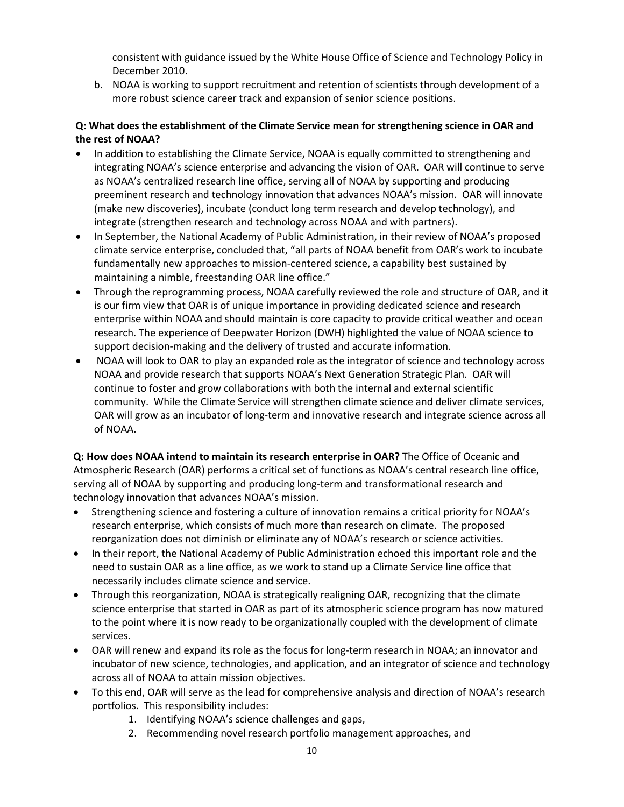consistent with guidance issued by the White House Office of Science and Technology Policy in December 2010.

b. NOAA is working to support recruitment and retention of scientists through development of a more robust science career track and expansion of senior science positions.

# **Q: What does the establishment of the Climate Service mean for strengthening science in OAR and the rest of NOAA?**

- In addition to establishing the Climate Service, NOAA is equally committed to strengthening and integrating NOAA's science enterprise and advancing the vision of OAR. OAR will continue to serve as NOAA's centralized research line office, serving all of NOAA by supporting and producing preeminent research and technology innovation that advances NOAA's mission. OAR will innovate (make new discoveries), incubate (conduct long term research and develop technology), and integrate (strengthen research and technology across NOAA and with partners).
- In September, the National Academy of Public Administration, in their review of NOAA's proposed climate service enterprise, concluded that, "all parts of NOAA benefit from OAR's work to incubate fundamentally new approaches to mission-centered science, a capability best sustained by maintaining a nimble, freestanding OAR line office."
- Through the reprogramming process, NOAA carefully reviewed the role and structure of OAR, and it is our firm view that OAR is of unique importance in providing dedicated science and research enterprise within NOAA and should maintain is core capacity to provide critical weather and ocean research. The experience of Deepwater Horizon (DWH) highlighted the value of NOAA science to support decision-making and the delivery of trusted and accurate information.
- NOAA will look to OAR to play an expanded role as the integrator of science and technology across NOAA and provide research that supports NOAA's Next Generation Strategic Plan. OAR will continue to foster and grow collaborations with both the internal and external scientific community. While the Climate Service will strengthen climate science and deliver climate services, OAR will grow as an incubator of long-term and innovative research and integrate science across all of NOAA.

**Q: How does NOAA intend to maintain its research enterprise in OAR?** The Office of Oceanic and Atmospheric Research (OAR) performs a critical set of functions as NOAA's central research line office, serving all of NOAA by supporting and producing long-term and transformational research and technology innovation that advances NOAA's mission.

- Strengthening science and fostering a culture of innovation remains a critical priority for NOAA's research enterprise, which consists of much more than research on climate. The proposed reorganization does not diminish or eliminate any of NOAA's research or science activities.
- In their report, the National Academy of Public Administration echoed this important role and the need to sustain OAR as a line office, as we work to stand up a Climate Service line office that necessarily includes climate science and service.
- Through this reorganization, NOAA is strategically realigning OAR, recognizing that the climate science enterprise that started in OAR as part of its atmospheric science program has now matured to the point where it is now ready to be organizationally coupled with the development of climate services.
- OAR will renew and expand its role as the focus for long-term research in NOAA; an innovator and incubator of new science, technologies, and application, and an integrator of science and technology across all of NOAA to attain mission objectives.
- To this end, OAR will serve as the lead for comprehensive analysis and direction of NOAA's research portfolios. This responsibility includes:
	- 1. Identifying NOAA's science challenges and gaps,
	- 2. Recommending novel research portfolio management approaches, and